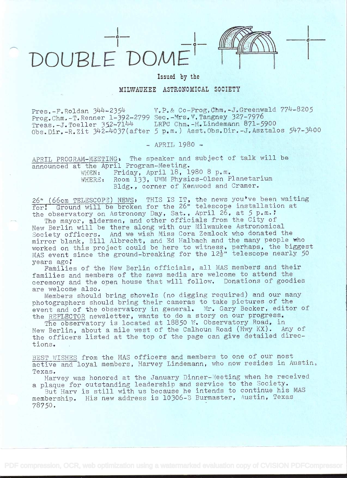

Issued by the

MILWAUKEE ASTRONOMICAL SOCIETY

V.P.& Co-Prog.Chm.-J.Greenwald 774-8205 Pres.-F.Roldan 344-2354 Prog.Chm.-T.Renner 1-392-2799 Sec.-Mrs.V.Tangney 327-7976 LRPC Chm.-H.Lindemann 871-5900 Treas.-J.Toeller 352-7144 Obs. Dir.-R.Zit 342-4037 (after 5 p.m.) Asst. Obs. Dir.-J. Asztalos 547-3400

 $-$  APRIL 1980  $-$ 

APRIL PROGRAM-MEETING: The speaker and subject of talk will be announced at the April Program-Meeting. Friday, April 18, 1980 8 p.m. WHEN: Room 133, UWM Physics-Olsen Planetarium WHERE: Bldg., corner of Kenwood and Cramer.

26" (66cm TELESCOPE) NEWS, THIS IS IT, the news you've been waiting for, Ground will be broken for the 26" telescope installation at the observatory on Astronomy Day, Sat., April 26, at 5 p.m.?

The mayor, aldermen, and other officials from the City of New Berlin will be there along with our Milwaukee Astronomical Society officers. And we wish Miss Cora Zemlock who donated the mirror blank, Bill Albrecht, and Ed Halbach and the many people who worked on this project could be here to witness, perhaps, the biggest<br>MAS event since the ground-breaking for the 12<sup>1</sup>/2" telescope nearly 50 years ago.

Families of the New Berlin officials, all MAS members and their families and members of the news media are welcome to attend the ceremony and the open house that will follow. Donations of goodies are welcome also.

Members should bring shovels (no digging required) and our many photographers should bring their cameras to take pictures of the event and of the observatory in general. Mr. Gary Becker, editor of the REFLECTOR newsletter, wants to do a story on our progress.

The observatory is located at 18850 W. Observatory Road, in New Berlin, about a mile west of the Calhoun Road (Hwy KX). Any of the officers listed at the top of the page can give detailed directions.

BEST WISHES from the MAS officers and members to one of our most active and loyal members, Harvey Lindemann, who now resides in Austin, Texas.

Harvey was honored at the January Dinner-Meeting when he received a plaque for outstanding leadership and service to the Society.

But Harv is still with us because he intends to continue his MAS membership. His new address is 10306-B Burmaster, Austin, Texas 78750.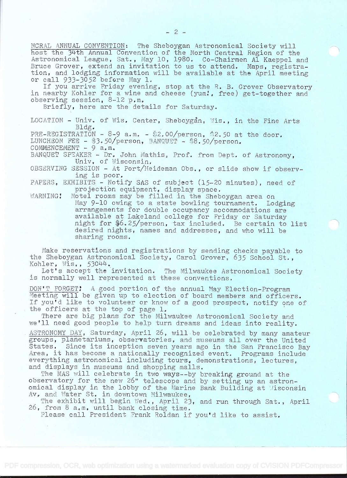NCRAL ANNUAL CONVENTION: The Sheboygan Astronomical Society will host the 34th Annual Convention of the North Central Region of the Astronomical League, Sat., May 10, 1980. Co-Chairmen Al Kaeppel and Bruce Grover, extend an invitation to us to attend. Maps, registration, and lodging information will be available at the April meeting or call 933-3052 before May 1.

If you arrive Friday evening, stop at the R. B. Grover Observatory in nearby Kohler for a wine and cheese (yum!, free) get-together and observing session,  $8-12$  p.m.

Briefly, here are the details for Saturday.

LOCATION - Univ. of Wis. Center, Sheboygan, Wis., in the Fine Arts Bldg. PRE-REGISTRATION -  $8-9$  a.m. - \$2.00/person, \$2.50 at the door.

LUNCHEON FEE - \$3.50/person, BANQUET - \$8.50/person.

 $COMMENCEMENT - 9 a_{\ast}m_{\ast}$ 

BANQUET SPEAKER - Dr, John Mathis, Prof. from Dept. of Astronomy, Univ. of Wisconsin.

OBSERVING SESSION - At Port/Heideman Obs., or slide show if observ-Ing is poor.

PAPERS. EXHIBITS - Notify SAS of subject (15-20 minutes), need of projection equipment, display space.

WARNING! Motel rooms may be filled in the Sheboygan area on May 9-10 owing to a state bowling tournament. Lodging arrangements for double occupancy accommodations are available at Lakeland college for Friday or Saturday night for  $6.25/$ person, tax included. Be certain to list desired nights, names and addresses, and who will be sharing rooms.

Make reservations and registrations by sending checks payable to the Sheboygan Astronomical Society, Carol Grover, 635 School St., Kohler, Wis.,  $53044$ .

Let's accept the invitation. The Milwaukee Astronomical Society is normally well represented at these conventions.

DON'T FORGET! A good portion of the annual May Election-Program Meeting will be given up to election of board members and officers. If you'd like to volunteer or knowof a good prospect, notify one of the officers at the top of page 1.

There are big plans for the Milwaukee Astronomical Society and we'll need good people to help turn dreams and ideas into reality.

ASTRONOMY DAY, Saturday, April 26, will.be celebrated by many amateur groups, planetariums, observatories, and museums all over the United<br>States. Since its inception seven years ago in the San Francisco Ba Since its inception seven years ago in the San Francisco Bay Area, it has become a nationally recognized event. Programs include everything astronomical including tours, demonstrations, lectures, and displays in museums and shopping malls.

The MAS will celebrate in two ways--by breaking ground at the observatory for the new 26" telescope and by setting up an astronomical display in the lobby of the Marine Bank Building at Visconsin Av, and Water St. in downtown Milwaukee,

The exhibit will begin Wed., April 23, and run through Sat., April 26, from 8 a,m, until bank closing time.

Please call President Frank Roldan if you'd like to assist,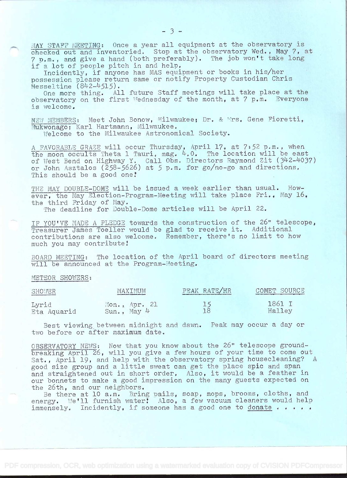MAY STAFF MEETING: Once a year all equipment at the observatory is checked out and inventoried. Stop at the observatory Wed., May 7, at<br>7 p.m., and give a hand (both preferably). The job won't take long

if a lot of people pitch in and help.<br>Incidently, if anyone has MAS equipment or books in his/her possession please return same or notify Property Custodian Chris  $Hesseltime (842-4515)$ .

One more thing. All future Staff meetings will take place at the Ohe more thing. All future Staff meetings will take place at the<br>observatory on the first Wednesday of the month, at 7 p.m. Everyone<br>is welcome.

NEW MEMBERS: Meet John Bonow, Milwaukee; Dr. & Wrs. Gene Fioretti. Mukwonago; Karl Hartmann, Milwaukee.

Welcome to the Milwaukee Astronomical Society.

A FAVORABLE GRAZE will occur Thursday, April 17, at 7:52 p.m., when the moon occults Theta i Tauri, mag. 4.0. The location will be east of West Bend on Highway Y. Call Obs. Directors Raymond Zit (342-4037) or John Asztalos (258-5626) at 5 p.m. for go/no-go and directions. This should be a good one!

THE MAY DOUBLE-DOME will be issued a week earlier than usual. However, the May Election-Program-Meeting will take place Fri., May  $16$ , the third Friday of May.

The deadline for Double-Dome articles will be April 22.

IF YOU'VE MADE A PLEDGE towards the construction of the 26" telescope, Treasurer James Toeller would be glad to receive it. Additional contributions are also welcome. Remember, there's no limit to how much you may contribute!

BOARD MEETING: The location of the April board of directors meeting will be announced at the Program-Meeting.

METEOR SHOWERS:

| <b>SHOWER</b> | MAXIMUM<br>between states and states and states and send on | PEAK RATE/HR | COMET SOURCE<br>come available \$5,0000 for each \$55,000 and data in the second |
|---------------|-------------------------------------------------------------|--------------|----------------------------------------------------------------------------------|
| Lyrid         | $Mon_{*}$ Apr. 21                                           | 18           | 1861 I                                                                           |
| Eta Aquarid   | $Sun_{\bullet}$ May 4                                       |              | Halley                                                                           |

Best viewing between midnight and dawn. Peak may occur a day or two before or after maximum date.

OBSERVATORY NEWS: Now that you know about the 26" telescope ground-<br>breaking April 26, will you give a few hours of your time to come out Sat., April 19, and help with the observatory spring housecleaning? <sup>A</sup> good size group and a little sweat can get the place spic and span and straightened out in short order, Also, it would be a feather in our bonnets to make a good impression on the many guests expected on<br>the 26th. and our neighbors.

Be there at 10 a.m. Bring pails, soap, mops, brooms, cloths, and energy. We'll furnish water, Also, a few vacuum cleaners would help immensely. Incidently, if someone has a good one to donate  $\cdots$